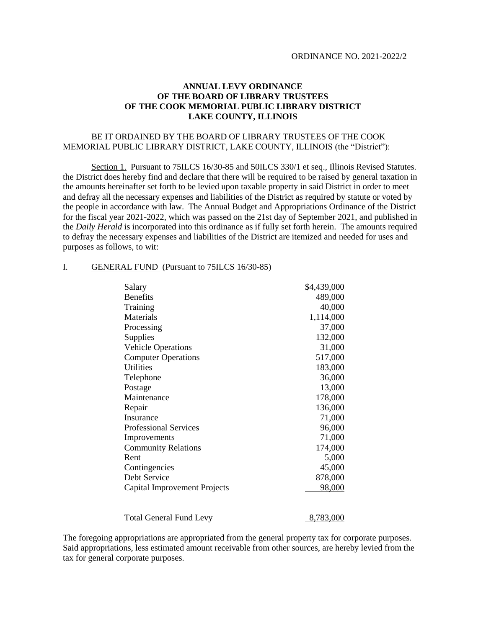## **ANNUAL LEVY ORDINANCE OF THE BOARD OF LIBRARY TRUSTEES OF THE COOK MEMORIAL PUBLIC LIBRARY DISTRICT LAKE COUNTY, ILLINOIS**

## BE IT ORDAINED BY THE BOARD OF LIBRARY TRUSTEES OF THE COOK MEMORIAL PUBLIC LIBRARY DISTRICT, LAKE COUNTY, ILLINOIS (the "District"):

Section 1. Pursuant to 75ILCS 16/30-85 and 50ILCS 330/1 et seq., Illinois Revised Statutes. the District does hereby find and declare that there will be required to be raised by general taxation in the amounts hereinafter set forth to be levied upon taxable property in said District in order to meet and defray all the necessary expenses and liabilities of the District as required by statute or voted by the people in accordance with law. The Annual Budget and Appropriations Ordinance of the District for the fiscal year 2021-2022, which was passed on the 21st day of September 2021, and published in the *Daily Herald* is incorporated into this ordinance as if fully set forth herein. The amounts required to defray the necessary expenses and liabilities of the District are itemized and needed for uses and purposes as follows, to wit:

#### I. GENERAL FUND (Pursuant to 75ILCS 16/30-85)

| Salary                         | \$4,439,000 |
|--------------------------------|-------------|
| <b>Benefits</b>                | 489,000     |
| Training                       | 40,000      |
| Materials                      | 1,114,000   |
| Processing                     | 37,000      |
| Supplies                       | 132,000     |
| <b>Vehicle Operations</b>      | 31,000      |
| <b>Computer Operations</b>     | 517,000     |
| <b>Utilities</b>               | 183,000     |
| Telephone                      | 36,000      |
| Postage                        | 13,000      |
| Maintenance                    | 178,000     |
| Repair                         | 136,000     |
| Insurance                      | 71,000      |
| <b>Professional Services</b>   | 96,000      |
| Improvements                   | 71,000      |
| <b>Community Relations</b>     | 174,000     |
| Rent                           | 5,000       |
| Contingencies                  | 45,000      |
| Debt Service                   | 878,000     |
| Capital Improvement Projects   | 98,000      |
| <b>Total General Fund Levy</b> | 8,783,000   |

The foregoing appropriations are appropriated from the general property tax for corporate purposes. Said appropriations, less estimated amount receivable from other sources, are hereby levied from the tax for general corporate purposes.